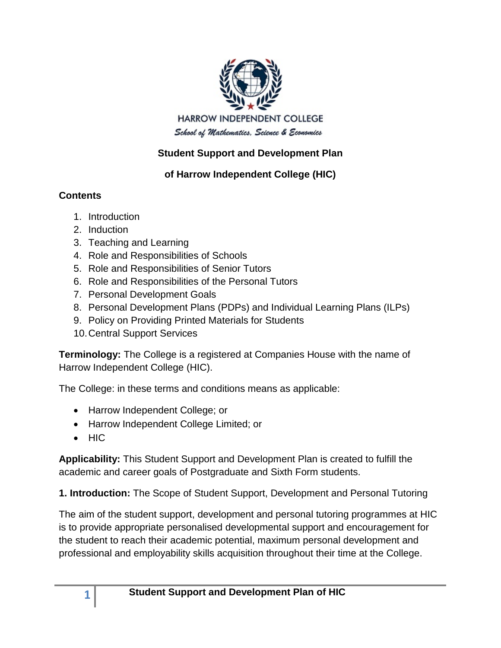

## **Student Support and Development Plan**

## **of Harrow Independent College (HIC)**

## **Contents**

- 1. Introduction
- 2. Induction
- 3. Teaching and Learning
- 4. Role and Responsibilities of Schools
- 5. Role and Responsibilities of Senior Tutors
- 6. Role and Responsibilities of the Personal Tutors
- 7. Personal Development Goals
- 8. Personal Development Plans (PDPs) and Individual Learning Plans (ILPs)
- 9. Policy on Providing Printed Materials for Students
- 10.Central Support Services

**Terminology:** The College is a registered at Companies House with the name of Harrow Independent College (HIC).

The College: in these terms and conditions means as applicable:

- Harrow Independent College; or
- Harrow Independent College Limited; or
- HIC

**Applicability:** This Student Support and Development Plan is created to fulfill the academic and career goals of Postgraduate and Sixth Form students.

**1. Introduction:** The Scope of Student Support, Development and Personal Tutoring

The aim of the student support, development and personal tutoring programmes at HIC is to provide appropriate personalised developmental support and encouragement for the student to reach their academic potential, maximum personal development and professional and employability skills acquisition throughout their time at the College.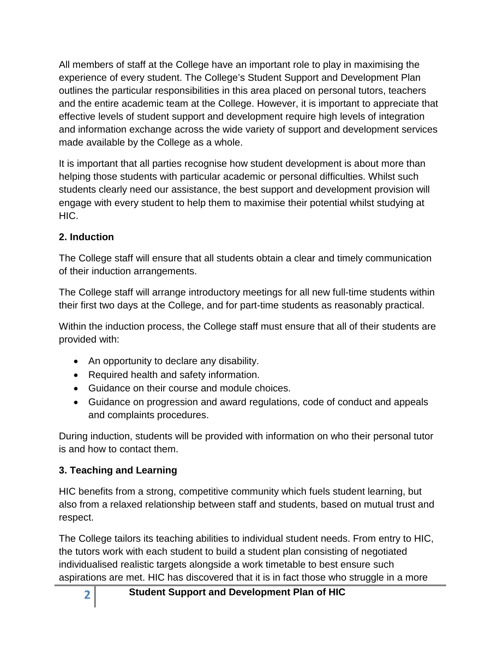All members of staff at the College have an important role to play in maximising the experience of every student. The College's Student Support and Development Plan outlines the particular responsibilities in this area placed on personal tutors, teachers and the entire academic team at the College. However, it is important to appreciate that effective levels of student support and development require high levels of integration and information exchange across the wide variety of support and development services made available by the College as a whole.

It is important that all parties recognise how student development is about more than helping those students with particular academic or personal difficulties. Whilst such students clearly need our assistance, the best support and development provision will engage with every student to help them to maximise their potential whilst studying at HIC.

### **2. Induction**

The College staff will ensure that all students obtain a clear and timely communication of their induction arrangements.

The College staff will arrange introductory meetings for all new full-time students within their first two days at the College, and for part-time students as reasonably practical.

Within the induction process, the College staff must ensure that all of their students are provided with:

- An opportunity to declare any disability.
- Required health and safety information.
- Guidance on their course and module choices.
- Guidance on progression and award regulations, code of conduct and appeals and complaints procedures.

During induction, students will be provided with information on who their personal tutor is and how to contact them.

### **3. Teaching and Learning**

HIC benefits from a strong, competitive community which fuels student learning, but also from a relaxed relationship between staff and students, based on mutual trust and respect.

The College tailors its teaching abilities to individual student needs. From entry to HIC, the tutors work with each student to build a student plan consisting of negotiated individualised realistic targets alongside a work timetable to best ensure such aspirations are met. HIC has discovered that it is in fact those who struggle in a more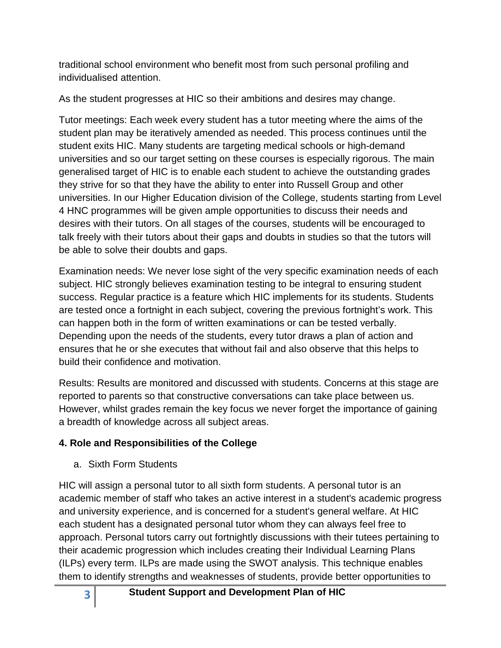traditional school environment who benefit most from such personal profiling and individualised attention.

As the student progresses at HIC so their ambitions and desires may change.

Tutor meetings: Each week every student has a tutor meeting where the aims of the student plan may be iteratively amended as needed. This process continues until the student exits HIC. Many students are targeting medical schools or high-demand universities and so our target setting on these courses is especially rigorous. The main generalised target of HIC is to enable each student to achieve the outstanding grades they strive for so that they have the ability to enter into Russell Group and other universities. In our Higher Education division of the College, students starting from Level 4 HNC programmes will be given ample opportunities to discuss their needs and desires with their tutors. On all stages of the courses, students will be encouraged to talk freely with their tutors about their gaps and doubts in studies so that the tutors will be able to solve their doubts and gaps.

Examination needs: We never lose sight of the very specific examination needs of each subject. HIC strongly believes examination testing to be integral to ensuring student success. Regular practice is a feature which HIC implements for its students. Students are tested once a fortnight in each subject, covering the previous fortnight's work. This can happen both in the form of written examinations or can be tested verbally. Depending upon the needs of the students, every tutor draws a plan of action and ensures that he or she executes that without fail and also observe that this helps to build their confidence and motivation.

Results: Results are monitored and discussed with students. Concerns at this stage are reported to parents so that constructive conversations can take place between us. However, whilst grades remain the key focus we never forget the importance of gaining a breadth of knowledge across all subject areas.

# **4. Role and Responsibilities of the College**

a. Sixth Form Students

HIC will assign a personal tutor to all sixth form students. A personal tutor is an academic member of staff who takes an active interest in a student's academic progress and university experience, and is concerned for a student's general welfare. At HIC each student has a designated personal tutor whom they can always feel free to approach. Personal tutors carry out fortnightly discussions with their tutees pertaining to their academic progression which includes creating their Individual Learning Plans (ILPs) every term. ILPs are made using the SWOT analysis. This technique enables them to identify strengths and weaknesses of students, provide better opportunities to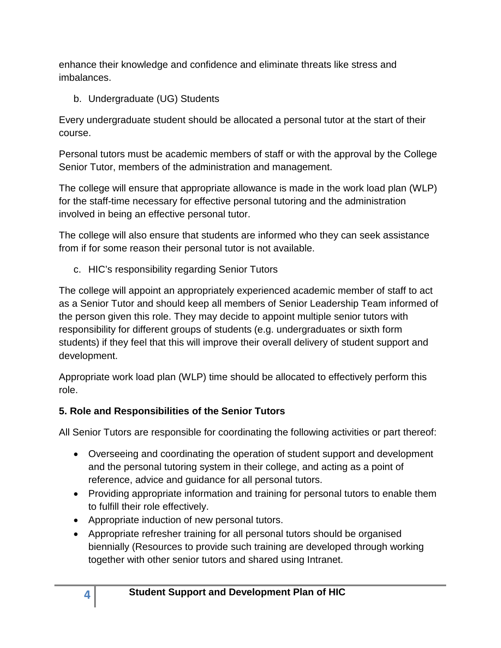enhance their knowledge and confidence and eliminate threats like stress and imbalances.

b. Undergraduate (UG) Students

Every undergraduate student should be allocated a personal tutor at the start of their course.

Personal tutors must be academic members of staff or with the approval by the College Senior Tutor, members of the administration and management.

The college will ensure that appropriate allowance is made in the work load plan (WLP) for the staff-time necessary for effective personal tutoring and the administration involved in being an effective personal tutor.

The college will also ensure that students are informed who they can seek assistance from if for some reason their personal tutor is not available.

c. HIC's responsibility regarding Senior Tutors

The college will appoint an appropriately experienced academic member of staff to act as a Senior Tutor and should keep all members of Senior Leadership Team informed of the person given this role. They may decide to appoint multiple senior tutors with responsibility for different groups of students (e.g. undergraduates or sixth form students) if they feel that this will improve their overall delivery of student support and development.

Appropriate work load plan (WLP) time should be allocated to effectively perform this role.

# **5. Role and Responsibilities of the Senior Tutors**

All Senior Tutors are responsible for coordinating the following activities or part thereof:

- Overseeing and coordinating the operation of student support and development and the personal tutoring system in their college, and acting as a point of reference, advice and guidance for all personal tutors.
- Providing appropriate information and training for personal tutors to enable them to fulfill their role effectively.
- Appropriate induction of new personal tutors.
- Appropriate refresher training for all personal tutors should be organised biennially (Resources to provide such training are developed through working together with other senior tutors and shared using Intranet.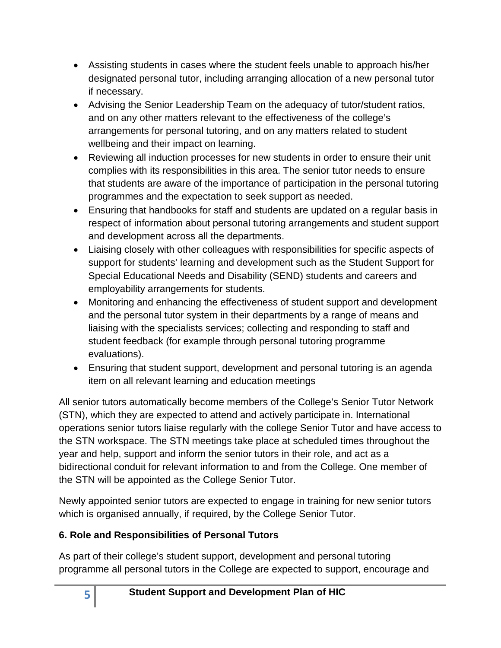- Assisting students in cases where the student feels unable to approach his/her designated personal tutor, including arranging allocation of a new personal tutor if necessary.
- Advising the Senior Leadership Team on the adequacy of tutor/student ratios, and on any other matters relevant to the effectiveness of the college's arrangements for personal tutoring, and on any matters related to student wellbeing and their impact on learning.
- Reviewing all induction processes for new students in order to ensure their unit complies with its responsibilities in this area. The senior tutor needs to ensure that students are aware of the importance of participation in the personal tutoring programmes and the expectation to seek support as needed.
- Ensuring that handbooks for staff and students are updated on a regular basis in respect of information about personal tutoring arrangements and student support and development across all the departments.
- Liaising closely with other colleagues with responsibilities for specific aspects of support for students' learning and development such as the Student Support for Special Educational Needs and Disability (SEND) students and careers and employability arrangements for students.
- Monitoring and enhancing the effectiveness of student support and development and the personal tutor system in their departments by a range of means and liaising with the specialists services; collecting and responding to staff and student feedback (for example through personal tutoring programme evaluations).
- Ensuring that student support, development and personal tutoring is an agenda item on all relevant learning and education meetings

All senior tutors automatically become members of the College's Senior Tutor Network (STN), which they are expected to attend and actively participate in. International operations senior tutors liaise regularly with the college Senior Tutor and have access to the STN workspace. The STN meetings take place at scheduled times throughout the year and help, support and inform the senior tutors in their role, and act as a bidirectional conduit for relevant information to and from the College. One member of the STN will be appointed as the College Senior Tutor.

Newly appointed senior tutors are expected to engage in training for new senior tutors which is organised annually, if required, by the College Senior Tutor.

# **6. Role and Responsibilities of Personal Tutors**

As part of their college's student support, development and personal tutoring programme all personal tutors in the College are expected to support, encourage and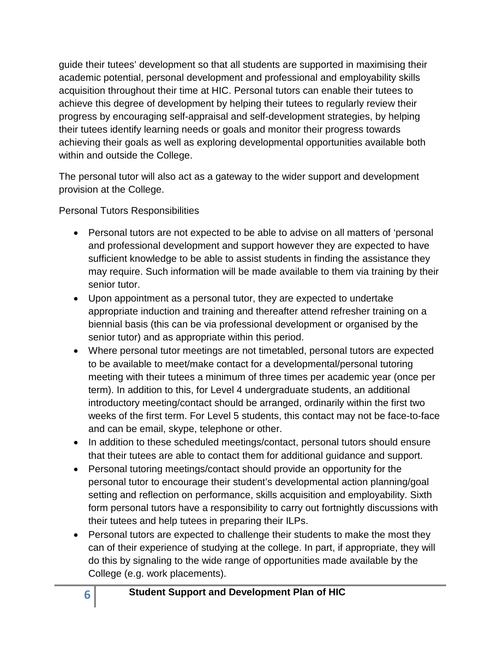guide their tutees' development so that all students are supported in maximising their academic potential, personal development and professional and employability skills acquisition throughout their time at HIC. Personal tutors can enable their tutees to achieve this degree of development by helping their tutees to regularly review their progress by encouraging self-appraisal and self-development strategies, by helping their tutees identify learning needs or goals and monitor their progress towards achieving their goals as well as exploring developmental opportunities available both within and outside the College.

The personal tutor will also act as a gateway to the wider support and development provision at the College.

Personal Tutors Responsibilities

- Personal tutors are not expected to be able to advise on all matters of 'personal and professional development and support however they are expected to have sufficient knowledge to be able to assist students in finding the assistance they may require. Such information will be made available to them via training by their senior tutor.
- Upon appointment as a personal tutor, they are expected to undertake appropriate induction and training and thereafter attend refresher training on a biennial basis (this can be via professional development or organised by the senior tutor) and as appropriate within this period.
- Where personal tutor meetings are not timetabled, personal tutors are expected to be available to meet/make contact for a developmental/personal tutoring meeting with their tutees a minimum of three times per academic year (once per term). In addition to this, for Level 4 undergraduate students, an additional introductory meeting/contact should be arranged, ordinarily within the first two weeks of the first term. For Level 5 students, this contact may not be face-to-face and can be email, skype, telephone or other.
- In addition to these scheduled meetings/contact, personal tutors should ensure that their tutees are able to contact them for additional guidance and support.
- Personal tutoring meetings/contact should provide an opportunity for the personal tutor to encourage their student's developmental action planning/goal setting and reflection on performance, skills acquisition and employability. Sixth form personal tutors have a responsibility to carry out fortnightly discussions with their tutees and help tutees in preparing their ILPs.
- Personal tutors are expected to challenge their students to make the most they can of their experience of studying at the college. In part, if appropriate, they will do this by signaling to the wide range of opportunities made available by the College (e.g. work placements).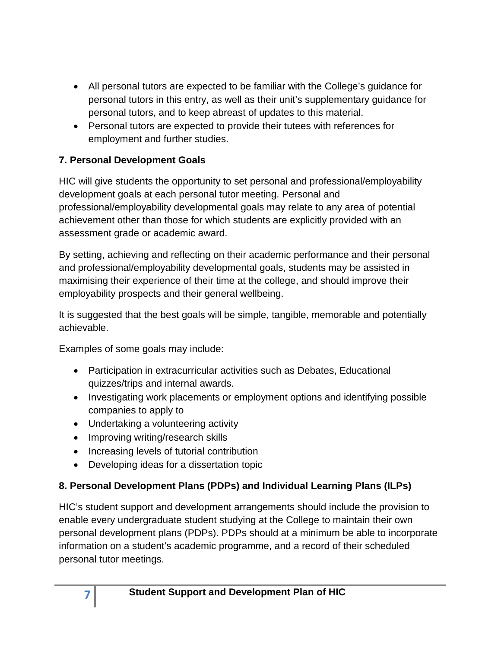- All personal tutors are expected to be familiar with the College's guidance for personal tutors in this entry, as well as their unit's supplementary guidance for personal tutors, and to keep abreast of updates to this material.
- Personal tutors are expected to provide their tutees with references for employment and further studies.

### **7. Personal Development Goals**

HIC will give students the opportunity to set personal and professional/employability development goals at each personal tutor meeting. Personal and professional/employability developmental goals may relate to any area of potential achievement other than those for which students are explicitly provided with an assessment grade or academic award.

By setting, achieving and reflecting on their academic performance and their personal and professional/employability developmental goals, students may be assisted in maximising their experience of their time at the college, and should improve their employability prospects and their general wellbeing.

It is suggested that the best goals will be simple, tangible, memorable and potentially achievable.

Examples of some goals may include:

- Participation in extracurricular activities such as Debates, Educational quizzes/trips and internal awards.
- Investigating work placements or employment options and identifying possible companies to apply to
- Undertaking a volunteering activity
- Improving writing/research skills
- Increasing levels of tutorial contribution
- Developing ideas for a dissertation topic

# **8. Personal Development Plans (PDPs) and Individual Learning Plans (ILPs)**

HIC's student support and development arrangements should include the provision to enable every undergraduate student studying at the College to maintain their own personal development plans (PDPs). PDPs should at a minimum be able to incorporate information on a student's academic programme, and a record of their scheduled personal tutor meetings.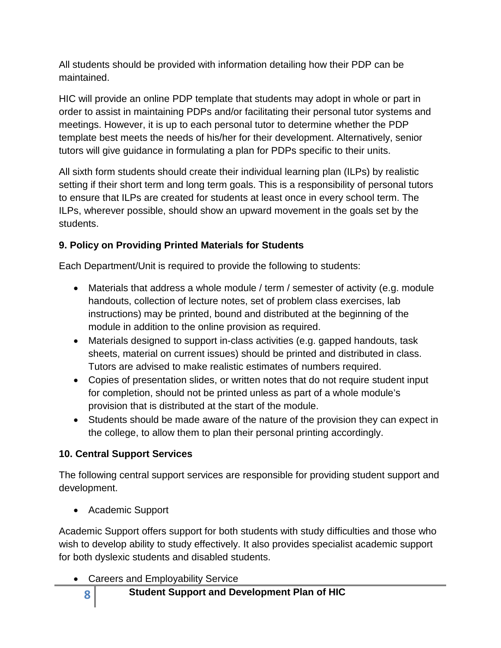All students should be provided with information detailing how their PDP can be maintained.

HIC will provide an online PDP template that students may adopt in whole or part in order to assist in maintaining PDPs and/or facilitating their personal tutor systems and meetings. However, it is up to each personal tutor to determine whether the PDP template best meets the needs of his/her for their development. Alternatively, senior tutors will give guidance in formulating a plan for PDPs specific to their units.

All sixth form students should create their individual learning plan (ILPs) by realistic setting if their short term and long term goals. This is a responsibility of personal tutors to ensure that ILPs are created for students at least once in every school term. The ILPs, wherever possible, should show an upward movement in the goals set by the students.

## **9. Policy on Providing Printed Materials for Students**

Each Department/Unit is required to provide the following to students:

- Materials that address a whole module / term / semester of activity (e.g. module handouts, collection of lecture notes, set of problem class exercises, lab instructions) may be printed, bound and distributed at the beginning of the module in addition to the online provision as required.
- Materials designed to support in-class activities (e.g. gapped handouts, task sheets, material on current issues) should be printed and distributed in class. Tutors are advised to make realistic estimates of numbers required.
- Copies of presentation slides, or written notes that do not require student input for completion, should not be printed unless as part of a whole module's provision that is distributed at the start of the module.
- Students should be made aware of the nature of the provision they can expect in the college, to allow them to plan their personal printing accordingly.

### **10. Central Support Services**

The following central support services are responsible for providing student support and development.

• Academic Support

Academic Support offers support for both students with study difficulties and those who wish to develop ability to study effectively. It also provides specialist academic support for both dyslexic students and disabled students.

• Careers and Employability Service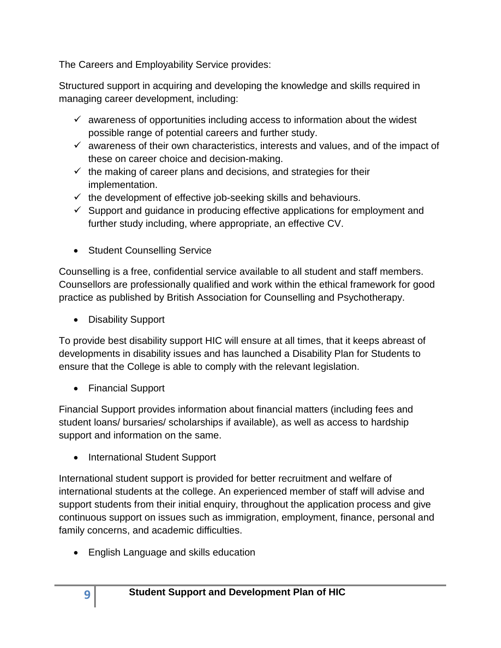The Careers and Employability Service provides:

Structured support in acquiring and developing the knowledge and skills required in managing career development, including:

- $\checkmark$  awareness of opportunities including access to information about the widest possible range of potential careers and further study.
- $\checkmark$  awareness of their own characteristics, interests and values, and of the impact of these on career choice and decision-making.
- $\checkmark$  the making of career plans and decisions, and strategies for their implementation.
- $\checkmark$  the development of effective job-seeking skills and behaviours.
- $\checkmark$  Support and guidance in producing effective applications for employment and further study including, where appropriate, an effective CV.
- Student Counselling Service

Counselling is a free, confidential service available to all student and staff members. Counsellors are professionally qualified and work within the ethical framework for good practice as published by British Association for Counselling and Psychotherapy.

• Disability Support

To provide best disability support HIC will ensure at all times, that it keeps abreast of developments in disability issues and has launched a Disability Plan for Students to ensure that the College is able to comply with the relevant legislation.

• Financial Support

Financial Support provides information about financial matters (including fees and student loans/ bursaries/ scholarships if available), as well as access to hardship support and information on the same.

• International Student Support

International student support is provided for better recruitment and welfare of international students at the college. An experienced member of staff will advise and support students from their initial enquiry, throughout the application process and give continuous support on issues such as immigration, employment, finance, personal and family concerns, and academic difficulties.

• English Language and skills education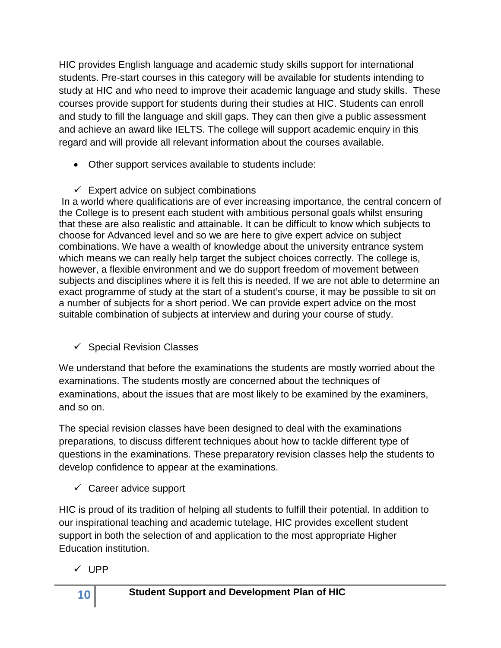HIC provides English language and academic study skills support for international students. Pre-start courses in this category will be available for students intending to study at HIC and who need to improve their academic language and study skills. These courses provide support for students during their studies at HIC. Students can enroll and study to fill the language and skill gaps. They can then give a public assessment and achieve an award like IELTS. The college will support academic enquiry in this regard and will provide all relevant information about the courses available.

- Other support services available to students include:
- $\checkmark$  Expert advice on subject combinations

In a world where qualifications are of ever increasing importance, the central concern of the College is to present each student with ambitious personal goals whilst ensuring that these are also realistic and attainable. It can be difficult to know which subjects to choose for Advanced level and so we are here to give expert advice on subject combinations. We have a wealth of knowledge about the university entrance system which means we can really help target the subject choices correctly. The college is, however, a flexible environment and we do support freedom of movement between subjects and disciplines where it is felt this is needed. If we are not able to determine an exact programme of study at the start of a student's course, it may be possible to sit on a number of subjects for a short period. We can provide expert advice on the most suitable combination of subjects at interview and during your course of study.

 $\checkmark$  Special Revision Classes

We understand that before the examinations the students are mostly worried about the examinations. The students mostly are concerned about the techniques of examinations, about the issues that are most likely to be examined by the examiners, and so on.

The special revision classes have been designed to deal with the examinations preparations, to discuss different techniques about how to tackle different type of questions in the examinations. These preparatory revision classes help the students to develop confidence to appear at the examinations.

 $\checkmark$  Career advice support

HIC is proud of its tradition of helping all students to fulfill their potential. In addition to our inspirational teaching and academic tutelage, HIC provides excellent student support in both the selection of and application to the most appropriate Higher Education institution.

 $\checkmark$  UPP